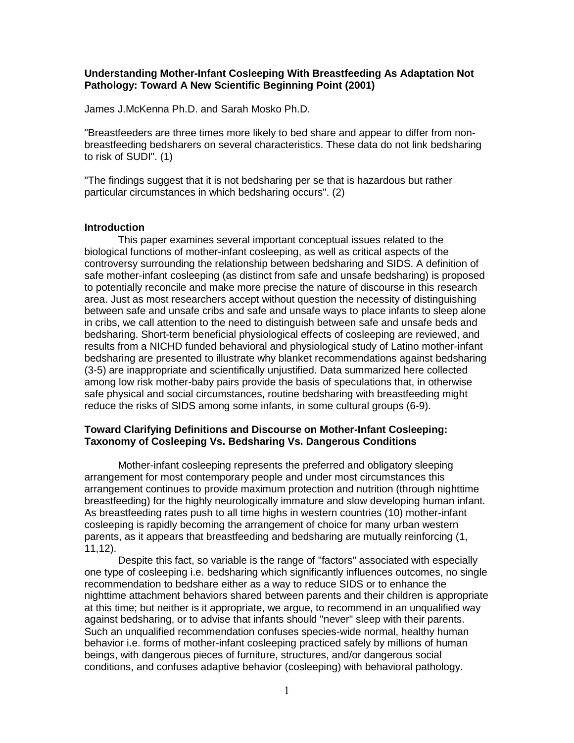# **Understanding Mother-Infant Cosleeping With Breastfeeding As Adaptation Not Pathology: Toward A New Scientific Beginning Point (2001)**

James J.McKenna Ph.D. and Sarah Mosko Ph.D.

"Breastfeeders are three times more likely to bed share and appear to differ from nonbreastfeeding bedsharers on several characteristics. These data do not link bedsharing to risk of SUDI". (1)

"The findings suggest that it is not bedsharing per se that is hazardous but rather particular circumstances in which bedsharing occurs". (2)

### **Introduction**

This paper examines several important conceptual issues related to the biological functions of mother-infant cosleeping, as well as critical aspects of the controversy surrounding the relationship between bedsharing and SIDS. A definition of safe mother-infant cosleeping (as distinct from safe and unsafe bedsharing) is proposed to potentially reconcile and make more precise the nature of discourse in this research area. Just as most researchers accept without question the necessity of distinguishing between safe and unsafe cribs and safe and unsafe ways to place infants to sleep alone in cribs, we call attention to the need to distinguish between safe and unsafe beds and bedsharing. Short-term beneficial physiological effects of cosleeping are reviewed, and results from a NICHD funded behavioral and physiological study of Latino mother-infant bedsharing are presented to illustrate why blanket recommendations against bedsharing (3-5) are inappropriate and scientifically unjustified. Data summarized here collected among low risk mother-baby pairs provide the basis of speculations that, in otherwise safe physical and social circumstances, routine bedsharing with breastfeeding might reduce the risks of SIDS among some infants, in some cultural groups (6-9).

# **Toward Clarifying Definitions and Discourse on Mother-Infant Cosleeping: Taxonomy of Cosleeping Vs. Bedsharing Vs. Dangerous Conditions**

Mother-infant cosleeping represents the preferred and obligatory sleeping arrangement for most contemporary people and under most circumstances this arrangement continues to provide maximum protection and nutrition (through nighttime breastfeeding) for the highly neurologically immature and slow developing human infant. As breastfeeding rates push to all time highs in western countries (10) mother-infant cosleeping is rapidly becoming the arrangement of choice for many urban western parents, as it appears that breastfeeding and bedsharing are mutually reinforcing (1, 11,12).

Despite this fact, so variable is the range of "factors" associated with especially one type of cosleeping i.e. bedsharing which significantly influences outcomes, no single recommendation to bedshare either as a way to reduce SIDS or to enhance the nighttime attachment behaviors shared between parents and their children is appropriate at this time; but neither is it appropriate, we argue, to recommend in an unqualified way against bedsharing, or to advise that infants should "never" sleep with their parents. Such an unqualified recommendation confuses species-wide normal, healthy human behavior i.e. forms of mother-infant cosleeping practiced safely by millions of human beings, with dangerous pieces of furniture, structures, and/or dangerous social conditions, and confuses adaptive behavior (cosleeping) with behavioral pathology.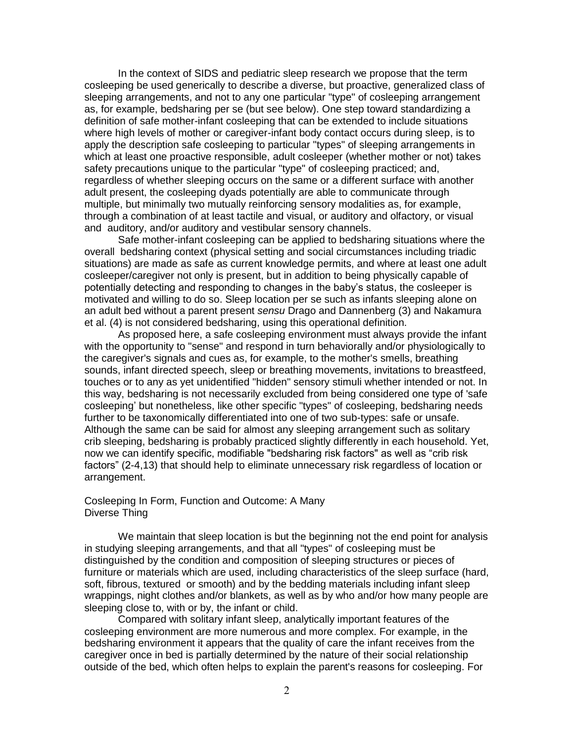In the context of SIDS and pediatric sleep research we propose that the term cosleeping be used generically to describe a diverse, but proactive, generalized class of sleeping arrangements, and not to any one particular "type" of cosleeping arrangement as, for example, bedsharing per se (but see below). One step toward standardizing a definition of safe mother-infant cosleeping that can be extended to include situations where high levels of mother or caregiver-infant body contact occurs during sleep, is to apply the description safe cosleeping to particular "types" of sleeping arrangements in which at least one proactive responsible, adult cosleeper (whether mother or not) takes safety precautions unique to the particular "type" of cosleeping practiced; and, regardless of whether sleeping occurs on the same or a different surface with another adult present, the cosleeping dyads potentially are able to communicate through multiple, but minimally two mutually reinforcing sensory modalities as, for example, through a combination of at least tactile and visual, or auditory and olfactory, or visual and auditory, and/or auditory and vestibular sensory channels.

Safe mother-infant cosleeping can be applied to bedsharing situations where the overall bedsharing context (physical setting and social circumstances including triadic situations) are made as safe as current knowledge permits, and where at least one adult cosleeper/caregiver not only is present, but in addition to being physically capable of potentially detecting and responding to changes in the baby's status, the cosleeper is motivated and willing to do so. Sleep location per se such as infants sleeping alone on an adult bed without a parent present *sensu* Drago and Dannenberg (3) and Nakamura et al. (4) is not considered bedsharing, using this operational definition.

 As proposed here, a safe cosleeping environment must always provide the infant with the opportunity to "sense" and respond in turn behaviorally and/or physiologically to the caregiver's signals and cues as, for example, to the mother's smells, breathing sounds, infant directed speech, sleep or breathing movements, invitations to breastfeed, touches or to any as yet unidentified "hidden" sensory stimuli whether intended or not. In this way, bedsharing is not necessarily excluded from being considered one type of 'safe cosleeping' but nonetheless, like other specific "types" of cosleeping, bedsharing needs further to be taxonomically differentiated into one of two sub-types: safe or unsafe. Although the same can be said for almost any sleeping arrangement such as solitary crib sleeping, bedsharing is probably practiced slightly differently in each household. Yet, now we can identify specific, modifiable "bedsharing risk factors" as well as "crib risk factors" (2-4,13) that should help to eliminate unnecessary risk regardless of location or arrangement.

## Cosleeping In Form, Function and Outcome: A Many Diverse Thing

We maintain that sleep location is but the beginning not the end point for analysis in studying sleeping arrangements, and that all "types" of cosleeping must be distinguished by the condition and composition of sleeping structures or pieces of furniture or materials which are used, including characteristics of the sleep surface (hard, soft, fibrous, textured or smooth) and by the bedding materials including infant sleep wrappings, night clothes and/or blankets, as well as by who and/or how many people are sleeping close to, with or by, the infant or child.

 Compared with solitary infant sleep, analytically important features of the cosleeping environment are more numerous and more complex. For example, in the bedsharing environment it appears that the quality of care the infant receives from the caregiver once in bed is partially determined by the nature of their social relationship outside of the bed, which often helps to explain the parent's reasons for cosleeping. For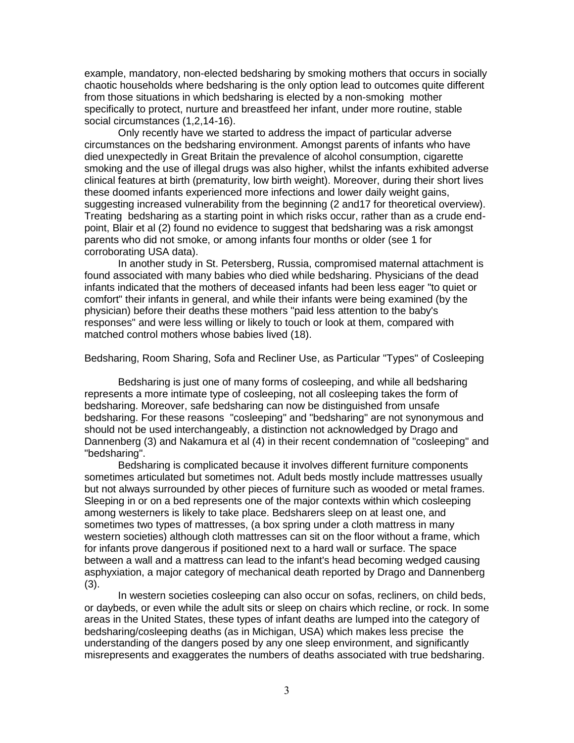example, mandatory, non-elected bedsharing by smoking mothers that occurs in socially chaotic households where bedsharing is the only option lead to outcomes quite different from those situations in which bedsharing is elected by a non-smoking mother specifically to protect, nurture and breastfeed her infant, under more routine, stable social circumstances (1,2,14-16).

Only recently have we started to address the impact of particular adverse circumstances on the bedsharing environment. Amongst parents of infants who have died unexpectedly in Great Britain the prevalence of alcohol consumption, cigarette smoking and the use of illegal drugs was also higher, whilst the infants exhibited adverse clinical features at birth (prematurity, low birth weight). Moreover, during their short lives these doomed infants experienced more infections and lower daily weight gains, suggesting increased vulnerability from the beginning (2 and17 for theoretical overview). Treating bedsharing as a starting point in which risks occur, rather than as a crude endpoint, Blair et al (2) found no evidence to suggest that bedsharing was a risk amongst parents who did not smoke, or among infants four months or older (see 1 for corroborating USA data).

In another study in St. Petersberg, Russia, compromised maternal attachment is found associated with many babies who died while bedsharing. Physicians of the dead infants indicated that the mothers of deceased infants had been less eager "to quiet or comfort" their infants in general, and while their infants were being examined (by the physician) before their deaths these mothers "paid less attention to the baby's responses" and were less willing or likely to touch or look at them, compared with matched control mothers whose babies lived (18).

Bedsharing, Room Sharing, Sofa and Recliner Use, as Particular "Types" of Cosleeping

Bedsharing is just one of many forms of cosleeping, and while all bedsharing represents a more intimate type of cosleeping, not all cosleeping takes the form of bedsharing. Moreover, safe bedsharing can now be distinguished from unsafe bedsharing. For these reasons "cosleeping" and "bedsharing" are not synonymous and should not be used interchangeably, a distinction not acknowledged by Drago and Dannenberg (3) and Nakamura et al (4) in their recent condemnation of "cosleeping" and "bedsharing".

Bedsharing is complicated because it involves different furniture components sometimes articulated but sometimes not. Adult beds mostly include mattresses usually but not always surrounded by other pieces of furniture such as wooded or metal frames. Sleeping in or on a bed represents one of the major contexts within which cosleeping among westerners is likely to take place. Bedsharers sleep on at least one, and sometimes two types of mattresses, (a box spring under a cloth mattress in many western societies) although cloth mattresses can sit on the floor without a frame, which for infants prove dangerous if positioned next to a hard wall or surface. The space between a wall and a mattress can lead to the infant's head becoming wedged causing asphyxiation, a major category of mechanical death reported by Drago and Dannenberg (3).

In western societies cosleeping can also occur on sofas, recliners, on child beds, or daybeds, or even while the adult sits or sleep on chairs which recline, or rock. In some areas in the United States, these types of infant deaths are lumped into the category of bedsharing/cosleeping deaths (as in Michigan, USA) which makes less precise the understanding of the dangers posed by any one sleep environment, and significantly misrepresents and exaggerates the numbers of deaths associated with true bedsharing.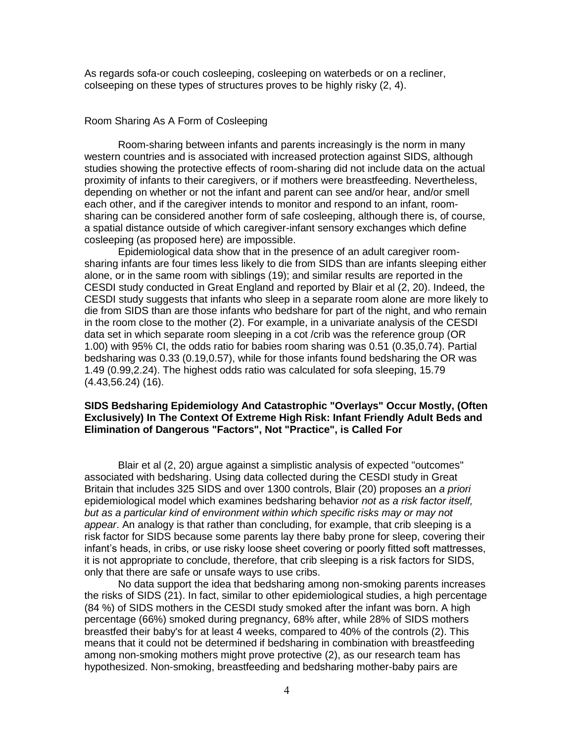As regards sofa-or couch cosleeping, cosleeping on waterbeds or on a recliner, colseeping on these types of structures proves to be highly risky (2, 4).

## Room Sharing As A Form of Cosleeping

Room-sharing between infants and parents increasingly is the norm in many western countries and is associated with increased protection against SIDS, although studies showing the protective effects of room-sharing did not include data on the actual proximity of infants to their caregivers, or if mothers were breastfeeding. Nevertheless, depending on whether or not the infant and parent can see and/or hear, and/or smell each other, and if the caregiver intends to monitor and respond to an infant, roomsharing can be considered another form of safe cosleeping, although there is, of course, a spatial distance outside of which caregiver-infant sensory exchanges which define cosleeping (as proposed here) are impossible.

Epidemiological data show that in the presence of an adult caregiver roomsharing infants are four times less likely to die from SIDS than are infants sleeping either alone, or in the same room with siblings (19); and similar results are reported in the CESDI study conducted in Great England and reported by Blair et al (2, 20). Indeed, the CESDI study suggests that infants who sleep in a separate room alone are more likely to die from SIDS than are those infants who bedshare for part of the night, and who remain in the room close to the mother (2). For example, in a univariate analysis of the CESDI data set in which separate room sleeping in a cot /crib was the reference group (OR 1.00) with 95% CI, the odds ratio for babies room sharing was 0.51 (0.35,0.74). Partial bedsharing was 0.33 (0.19,0.57), while for those infants found bedsharing the OR was 1.49 (0.99,2.24). The highest odds ratio was calculated for sofa sleeping, 15.79 (4.43,56.24) (16).

## **SIDS Bedsharing Epidemiology And Catastrophic "Overlays" Occur Mostly, (Often Exclusively) In The Context Of Extreme High Risk: Infant Friendly Adult Beds and Elimination of Dangerous "Factors", Not "Practice", is Called For**

Blair et al (2, 20) argue against a simplistic analysis of expected "outcomes" associated with bedsharing. Using data collected during the CESDI study in Great Britain that includes 325 SIDS and over 1300 controls, Blair (20) proposes an *a priori* epidemiological model which examines bedsharing behavior *not as a risk factor itself, but as a particular kind of environment within which specific risks may or may not appear*. An analogy is that rather than concluding, for example, that crib sleeping is a risk factor for SIDS because some parents lay there baby prone for sleep, covering their infant's heads, in cribs, or use risky loose sheet covering or poorly fitted soft mattresses, it is not appropriate to conclude, therefore, that crib sleeping is a risk factors for SIDS, only that there are safe or unsafe ways to use cribs.

No data support the idea that bedsharing among non-smoking parents increases the risks of SIDS (21). In fact, similar to other epidemiological studies, a high percentage (84 %) of SIDS mothers in the CESDI study smoked after the infant was born. A high percentage (66%) smoked during pregnancy, 68% after, while 28% of SIDS mothers breastfed their baby's for at least 4 weeks, compared to 40% of the controls (2). This means that it could not be determined if bedsharing in combination with breastfeeding among non-smoking mothers might prove protective (2), as our research team has hypothesized. Non-smoking, breastfeeding and bedsharing mother-baby pairs are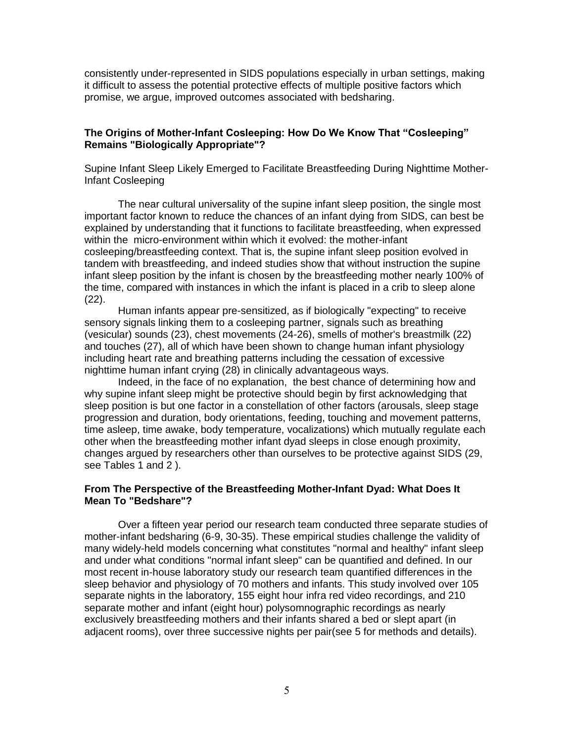consistently under-represented in SIDS populations especially in urban settings, making it difficult to assess the potential protective effects of multiple positive factors which promise, we argue, improved outcomes associated with bedsharing.

# **The Origins of Mother-Infant Cosleeping: How Do We Know That "Cosleeping" Remains "Biologically Appropriate"?**

Supine Infant Sleep Likely Emerged to Facilitate Breastfeeding During Nighttime Mother-Infant Cosleeping

The near cultural universality of the supine infant sleep position, the single most important factor known to reduce the chances of an infant dying from SIDS, can best be explained by understanding that it functions to facilitate breastfeeding, when expressed within the micro-environment within which it evolved: the mother-infant cosleeping/breastfeeding context. That is, the supine infant sleep position evolved in tandem with breastfeeding, and indeed studies show that without instruction the supine infant sleep position by the infant is chosen by the breastfeeding mother nearly 100% of the time, compared with instances in which the infant is placed in a crib to sleep alone (22).

Human infants appear pre-sensitized, as if biologically "expecting" to receive sensory signals linking them to a cosleeping partner, signals such as breathing (vesicular) sounds (23), chest movements (24-26), smells of mother's breastmilk (22) and touches (27), all of which have been shown to change human infant physiology including heart rate and breathing patterns including the cessation of excessive nighttime human infant crying (28) in clinically advantageous ways.

Indeed, in the face of no explanation, the best chance of determining how and why supine infant sleep might be protective should begin by first acknowledging that sleep position is but one factor in a constellation of other factors (arousals, sleep stage progression and duration, body orientations, feeding, touching and movement patterns, time asleep, time awake, body temperature, vocalizations) which mutually regulate each other when the breastfeeding mother infant dyad sleeps in close enough proximity, changes argued by researchers other than ourselves to be protective against SIDS (29, see Tables 1 and 2 ).

# **From The Perspective of the Breastfeeding Mother-Infant Dyad: What Does It Mean To "Bedshare"?**

Over a fifteen year period our research team conducted three separate studies of mother-infant bedsharing (6-9, 30-35). These empirical studies challenge the validity of many widely-held models concerning what constitutes "normal and healthy" infant sleep and under what conditions "normal infant sleep" can be quantified and defined. In our most recent in-house laboratory study our research team quantified differences in the sleep behavior and physiology of 70 mothers and infants. This study involved over 105 separate nights in the laboratory, 155 eight hour infra red video recordings, and 210 separate mother and infant (eight hour) polysomnographic recordings as nearly exclusively breastfeeding mothers and their infants shared a bed or slept apart (in adjacent rooms), over three successive nights per pair(see 5 for methods and details).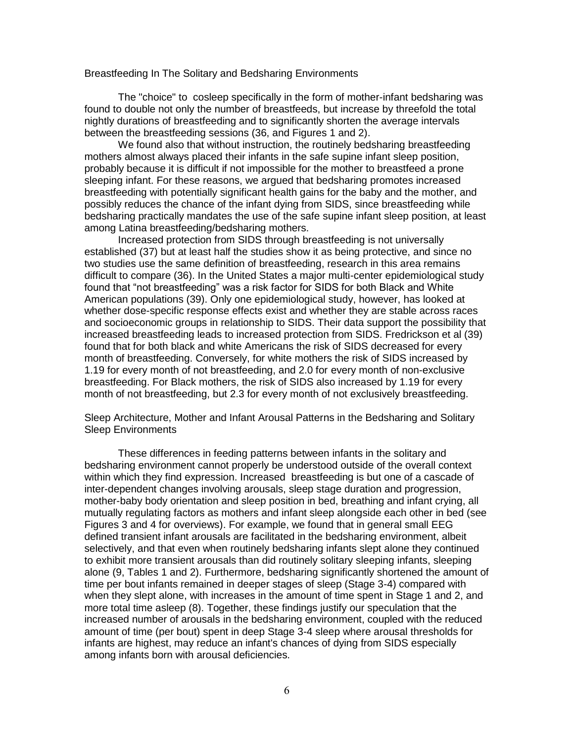#### Breastfeeding In The Solitary and Bedsharing Environments

The "choice" to cosleep specifically in the form of mother-infant bedsharing was found to double not only the number of breastfeeds, but increase by threefold the total nightly durations of breastfeeding and to significantly shorten the average intervals between the breastfeeding sessions (36, and Figures 1 and 2).

We found also that without instruction, the routinely bedsharing breastfeeding mothers almost always placed their infants in the safe supine infant sleep position, probably because it is difficult if not impossible for the mother to breastfeed a prone sleeping infant. For these reasons, we argued that bedsharing promotes increased breastfeeding with potentially significant health gains for the baby and the mother, and possibly reduces the chance of the infant dying from SIDS, since breastfeeding while bedsharing practically mandates the use of the safe supine infant sleep position, at least among Latina breastfeeding/bedsharing mothers.

Increased protection from SIDS through breastfeeding is not universally established (37) but at least half the studies show it as being protective, and since no two studies use the same definition of breastfeeding, research in this area remains difficult to compare (36). In the United States a major multi-center epidemiological study found that "not breastfeeding" was a risk factor for SIDS for both Black and White American populations (39). Only one epidemiological study, however, has looked at whether dose-specific response effects exist and whether they are stable across races and socioeconomic groups in relationship to SIDS. Their data support the possibility that increased breastfeeding leads to increased protection from SIDS. Fredrickson et al (39) found that for both black and white Americans the risk of SIDS decreased for every month of breastfeeding. Conversely, for white mothers the risk of SIDS increased by 1.19 for every month of not breastfeeding, and 2.0 for every month of non-exclusive breastfeeding. For Black mothers, the risk of SIDS also increased by 1.19 for every month of not breastfeeding, but 2.3 for every month of not exclusively breastfeeding.

Sleep Architecture, Mother and Infant Arousal Patterns in the Bedsharing and Solitary Sleep Environments

These differences in feeding patterns between infants in the solitary and bedsharing environment cannot properly be understood outside of the overall context within which they find expression. Increased breastfeeding is but one of a cascade of inter-dependent changes involving arousals, sleep stage duration and progression, mother-baby body orientation and sleep position in bed, breathing and infant crying, all mutually regulating factors as mothers and infant sleep alongside each other in bed (see Figures 3 and 4 for overviews). For example, we found that in general small EEG defined transient infant arousals are facilitated in the bedsharing environment, albeit selectively, and that even when routinely bedsharing infants slept alone they continued to exhibit more transient arousals than did routinely solitary sleeping infants, sleeping alone (9, Tables 1 and 2). Furthermore, bedsharing significantly shortened the amount of time per bout infants remained in deeper stages of sleep (Stage 3-4) compared with when they slept alone, with increases in the amount of time spent in Stage 1 and 2, and more total time asleep (8). Together, these findings justify our speculation that the increased number of arousals in the bedsharing environment, coupled with the reduced amount of time (per bout) spent in deep Stage 3-4 sleep where arousal thresholds for infants are highest, may reduce an infant's chances of dying from SIDS especially among infants born with arousal deficiencies.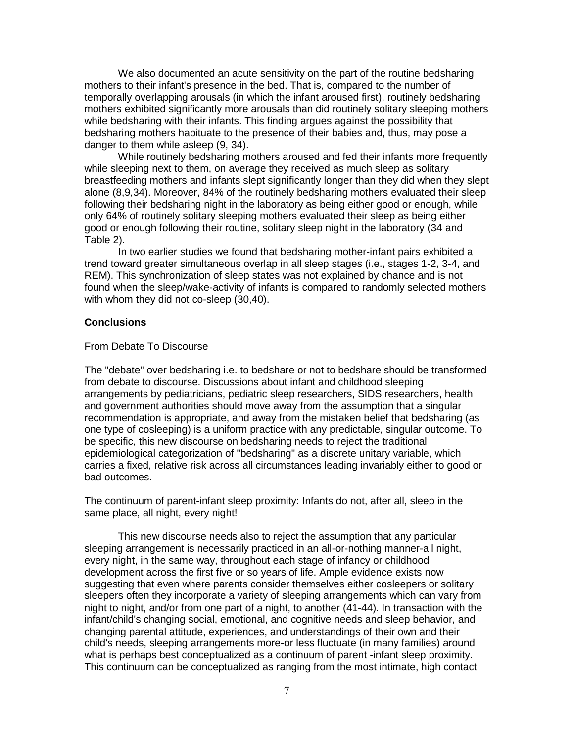We also documented an acute sensitivity on the part of the routine bedsharing mothers to their infant's presence in the bed. That is, compared to the number of temporally overlapping arousals (in which the infant aroused first), routinely bedsharing mothers exhibited significantly more arousals than did routinely solitary sleeping mothers while bedsharing with their infants. This finding argues against the possibility that bedsharing mothers habituate to the presence of their babies and, thus, may pose a danger to them while asleep (9, 34).

While routinely bedsharing mothers aroused and fed their infants more frequently while sleeping next to them, on average they received as much sleep as solitary breastfeeding mothers and infants slept significantly longer than they did when they slept alone (8,9,34). Moreover, 84% of the routinely bedsharing mothers evaluated their sleep following their bedsharing night in the laboratory as being either good or enough, while only 64% of routinely solitary sleeping mothers evaluated their sleep as being either good or enough following their routine, solitary sleep night in the laboratory (34 and Table 2).

In two earlier studies we found that bedsharing mother-infant pairs exhibited a trend toward greater simultaneous overlap in all sleep stages (i.e., stages 1-2, 3-4, and REM). This synchronization of sleep states was not explained by chance and is not found when the sleep/wake-activity of infants is compared to randomly selected mothers with whom they did not co-sleep (30,40).

## **Conclusions**

### From Debate To Discourse

The "debate" over bedsharing i.e. to bedshare or not to bedshare should be transformed from debate to discourse. Discussions about infant and childhood sleeping arrangements by pediatricians, pediatric sleep researchers, SIDS researchers, health and government authorities should move away from the assumption that a singular recommendation is appropriate, and away from the mistaken belief that bedsharing (as one type of cosleeping) is a uniform practice with any predictable, singular outcome. To be specific, this new discourse on bedsharing needs to reject the traditional epidemiological categorization of "bedsharing" as a discrete unitary variable, which carries a fixed, relative risk across all circumstances leading invariably either to good or bad outcomes.

The continuum of parent-infant sleep proximity: Infants do not, after all, sleep in the same place, all night, every night!

This new discourse needs also to reject the assumption that any particular sleeping arrangement is necessarily practiced in an all-or-nothing manner-all night, every night, in the same way, throughout each stage of infancy or childhood development across the first five or so years of life. Ample evidence exists now suggesting that even where parents consider themselves either cosleepers or solitary sleepers often they incorporate a variety of sleeping arrangements which can vary from night to night, and/or from one part of a night, to another (41-44). In transaction with the infant/child's changing social, emotional, and cognitive needs and sleep behavior, and changing parental attitude, experiences, and understandings of their own and their child's needs, sleeping arrangements more-or less fluctuate (in many families) around what is perhaps best conceptualized as a continuum of parent -infant sleep proximity. This continuum can be conceptualized as ranging from the most intimate, high contact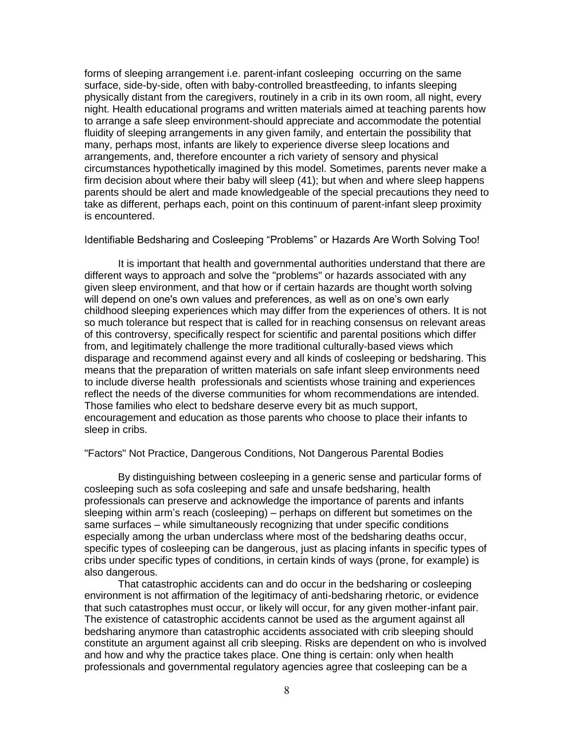forms of sleeping arrangement i.e. parent-infant cosleeping occurring on the same surface, side-by-side, often with baby-controlled breastfeeding, to infants sleeping physically distant from the caregivers, routinely in a crib in its own room, all night, every night. Health educational programs and written materials aimed at teaching parents how to arrange a safe sleep environment-should appreciate and accommodate the potential fluidity of sleeping arrangements in any given family, and entertain the possibility that many, perhaps most, infants are likely to experience diverse sleep locations and arrangements, and, therefore encounter a rich variety of sensory and physical circumstances hypothetically imagined by this model. Sometimes, parents never make a firm decision about where their baby will sleep (41); but when and where sleep happens parents should be alert and made knowledgeable of the special precautions they need to take as different, perhaps each, point on this continuum of parent-infant sleep proximity is encountered.

Identifiable Bedsharing and Cosleeping "Problems" or Hazards Are Worth Solving Too!

It is important that health and governmental authorities understand that there are different ways to approach and solve the "problems" or hazards associated with any given sleep environment, and that how or if certain hazards are thought worth solving will depend on one's own values and preferences, as well as on one's own early childhood sleeping experiences which may differ from the experiences of others. It is not so much tolerance but respect that is called for in reaching consensus on relevant areas of this controversy, specifically respect for scientific and parental positions which differ from, and legitimately challenge the more traditional culturally-based views which disparage and recommend against every and all kinds of cosleeping or bedsharing. This means that the preparation of written materials on safe infant sleep environments need to include diverse health professionals and scientists whose training and experiences reflect the needs of the diverse communities for whom recommendations are intended. Those families who elect to bedshare deserve every bit as much support, encouragement and education as those parents who choose to place their infants to sleep in cribs.

#### "Factors" Not Practice, Dangerous Conditions, Not Dangerous Parental Bodies

By distinguishing between cosleeping in a generic sense and particular forms of cosleeping such as sofa cosleeping and safe and unsafe bedsharing, health professionals can preserve and acknowledge the importance of parents and infants sleeping within arm's reach (cosleeping) – perhaps on different but sometimes on the same surfaces – while simultaneously recognizing that under specific conditions especially among the urban underclass where most of the bedsharing deaths occur, specific types of cosleeping can be dangerous, just as placing infants in specific types of cribs under specific types of conditions, in certain kinds of ways (prone, for example) is also dangerous.

That catastrophic accidents can and do occur in the bedsharing or cosleeping environment is not affirmation of the legitimacy of anti-bedsharing rhetoric, or evidence that such catastrophes must occur, or likely will occur, for any given mother-infant pair. The existence of catastrophic accidents cannot be used as the argument against all bedsharing anymore than catastrophic accidents associated with crib sleeping should constitute an argument against all crib sleeping. Risks are dependent on who is involved and how and why the practice takes place. One thing is certain: only when health professionals and governmental regulatory agencies agree that cosleeping can be a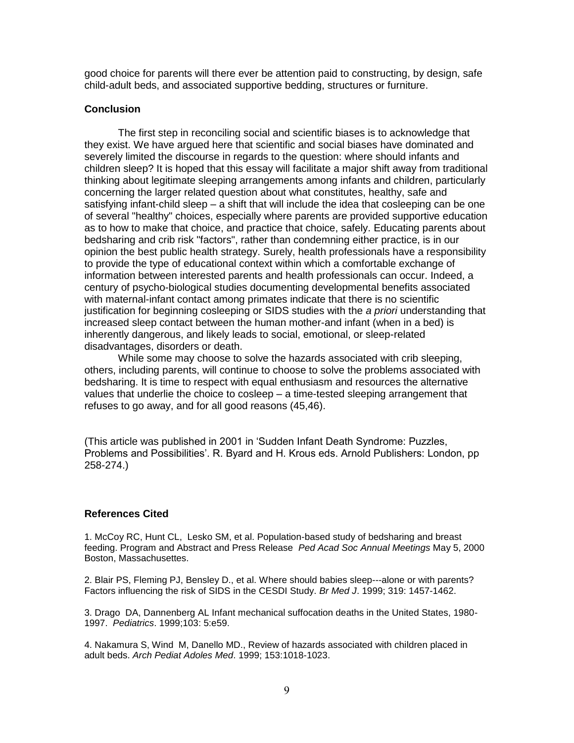good choice for parents will there ever be attention paid to constructing, by design, safe child-adult beds, and associated supportive bedding, structures or furniture.

### **Conclusion**

The first step in reconciling social and scientific biases is to acknowledge that they exist. We have argued here that scientific and social biases have dominated and severely limited the discourse in regards to the question: where should infants and children sleep? It is hoped that this essay will facilitate a major shift away from traditional thinking about legitimate sleeping arrangements among infants and children, particularly concerning the larger related question about what constitutes, healthy, safe and satisfying infant-child sleep – a shift that will include the idea that cosleeping can be one of several "healthy" choices, especially where parents are provided supportive education as to how to make that choice, and practice that choice, safely. Educating parents about bedsharing and crib risk "factors", rather than condemning either practice, is in our opinion the best public health strategy. Surely, health professionals have a responsibility to provide the type of educational context within which a comfortable exchange of information between interested parents and health professionals can occur. Indeed, a century of psycho-biological studies documenting developmental benefits associated with maternal-infant contact among primates indicate that there is no scientific justification for beginning cosleeping or SIDS studies with the *a priori* understanding that increased sleep contact between the human mother-and infant (when in a bed) is inherently dangerous, and likely leads to social, emotional, or sleep-related disadvantages, disorders or death.

While some may choose to solve the hazards associated with crib sleeping, others, including parents, will continue to choose to solve the problems associated with bedsharing. It is time to respect with equal enthusiasm and resources the alternative values that underlie the choice to cosleep – a time-tested sleeping arrangement that refuses to go away, and for all good reasons (45,46).

(This article was published in 2001 in 'Sudden Infant Death Syndrome: Puzzles, Problems and Possibilities'. R. Byard and H. Krous eds. Arnold Publishers: London, pp 258-274.)

### **References Cited**

1. McCoy RC, Hunt CL, Lesko SM, et al. Population-based study of bedsharing and breast feeding. Program and Abstract and Press Release *Ped Acad Soc Annual Meetings* May 5, 2000 Boston, Massachusettes.

2. Blair PS, Fleming PJ, Bensley D., et al. Where should babies sleep---alone or with parents? Factors influencing the risk of SIDS in the CESDI Study. *Br Med J*. 1999; 319: 1457-1462.

3. Drago DA, Dannenberg AL Infant mechanical suffocation deaths in the United States, 1980- 1997. *Pediatrics*. 1999;103: 5:e59.

4. Nakamura S, Wind M, Danello MD., Review of hazards associated with children placed in adult beds. *Arch Pediat Adoles Med*. 1999; 153:1018-1023.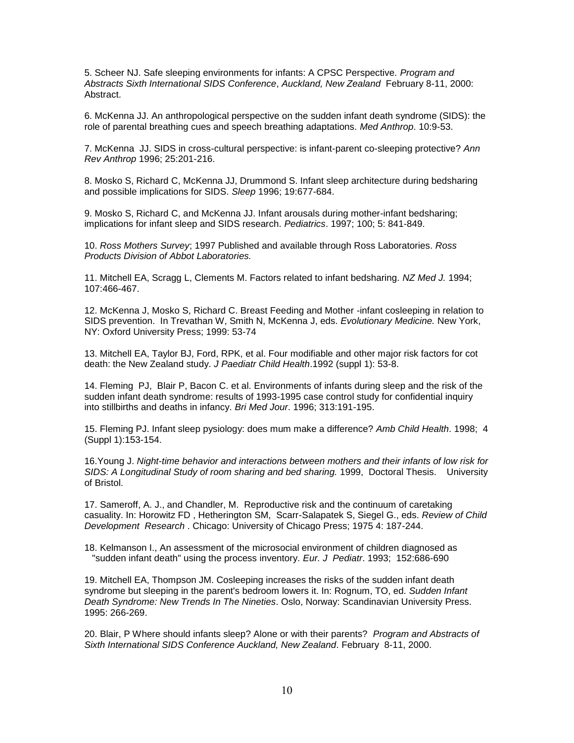5. Scheer NJ. Safe sleeping environments for infants: A CPSC Perspective*. Program and Abstracts Sixth International SIDS Conference*, *Auckland, New Zealand* February 8-11, 2000: Abstract.

6. McKenna JJ. An anthropological perspective on the sudden infant death syndrome (SIDS): the role of parental breathing cues and speech breathing adaptations. *Med Anthrop*. 10:9-53.

7. McKenna JJ. SIDS in cross-cultural perspective: is infant-parent co-sleeping protective? *Ann Rev Anthrop* 1996; 25:201-216.

8. Mosko S, Richard C, McKenna JJ, Drummond S. Infant sleep architecture during bedsharing and possible implications for SIDS. *Sleep* 1996; 19:677-684.

9. Mosko S, Richard C, and McKenna JJ. Infant arousals during mother-infant bedsharing; implications for infant sleep and SIDS research. *Pediatrics*. 1997; 100; 5: 841-849.

10. *Ross Mothers Survey*; 1997 Published and available through Ross Laboratories. *Ross Products Division of Abbot Laboratories.* 

11. Mitchell EA, Scragg L, Clements M. Factors related to infant bedsharing*. NZ Med J.* 1994; 107:466-467.

12. McKenna J, Mosko S, Richard C. Breast Feeding and Mother -infant cosleeping in relation to SIDS prevention. In Trevathan W, Smith N, McKenna J, eds. *Evolutionary Medicine.* New York, NY: Oxford University Press; 1999: 53-74

13. Mitchell EA, Taylor BJ, Ford, RPK, et al. Four modifiable and other major risk factors for cot death: the New Zealand study. *J Paediatr Child Health*.1992 (suppl 1): 53-8.

14. Fleming PJ, Blair P, Bacon C. et al. Environments of infants during sleep and the risk of the sudden infant death syndrome: results of 1993-1995 case control study for confidential inquiry into stillbirths and deaths in infancy. *Bri Med Jour*. 1996; 313:191-195.

15. Fleming PJ. Infant sleep pysiology: does mum make a difference? *Amb Child Health*. 1998; 4 (Suppl 1):153-154.

16.Young J. *Night-time behavior and interactions between mothers and their infants of low risk for SIDS: A Longitudinal Study of room sharing and bed sharing.* 1999, Doctoral Thesis. University of Bristol.

17. Sameroff, A. J., and Chandler, M. Reproductive risk and the continuum of caretaking casuality. In: Horowitz FD , Hetherington SM, Scarr-Salapatek S, Siegel G., eds. *Review of Child Development Research* . Chicago: University of Chicago Press; 1975 4: 187-244.

18. Kelmanson I., An assessment of the microsocial environment of children diagnosed as "sudden infant death" using the process inventory. *Eur. J Pediatr*. 1993; 152:686-690

19. Mitchell EA, Thompson JM. Cosleeping increases the risks of the sudden infant death syndrome but sleeping in the parent's bedroom lowers it. In: Rognum, TO, ed*. Sudden Infant Death Syndrome: New Trends In The Nineties*. Oslo, Norway: Scandinavian University Press. 1995: 266-269.

20. Blair, P Where should infants sleep? Alone or with their parents? *Program and Abstracts of Sixth International SIDS Conference Auckland, New Zealand*. February 8-11, 2000.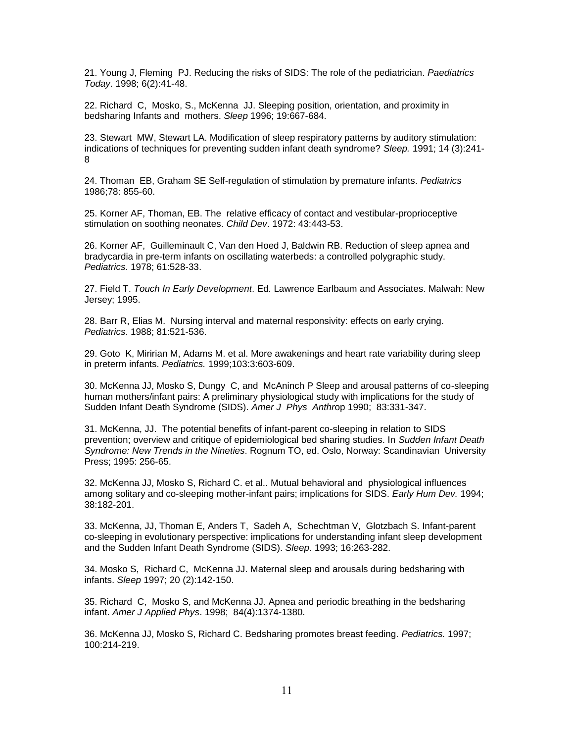21. Young J, Fleming PJ. Reducing the risks of SIDS: The role of the pediatrician. *Paediatrics Today*. 1998; 6(2):41-48.

22. Richard C, Mosko, S., McKenna JJ. Sleeping position, orientation, and proximity in bedsharing Infants and mothers. *Sleep* 1996; 19:667-684.

23. Stewart MW, Stewart LA. Modification of sleep respiratory patterns by auditory stimulation: indications of techniques for preventing sudden infant death syndrome? *Sleep.* 1991; 14 (3):241- 8

24. Thoman EB, Graham SE Self-regulation of stimulation by premature infants. *Pediatrics*  1986;78: 855-60.

25. Korner AF, Thoman, EB. The relative efficacy of contact and vestibular-proprioceptive stimulation on soothing neonates. *Child Dev*. 1972: 43:443-53.

26. Korner AF, Guilleminault C, Van den Hoed J, Baldwin RB. Reduction of sleep apnea and bradycardia in pre-term infants on oscillating waterbeds: a controlled polygraphic study. *Pediatrics*. 1978; 61:528-33.

27. Field T. *Touch In Early Development*. Ed*.* Lawrence Earlbaum and Associates. Malwah: New Jersey; 1995.

28. Barr R, Elias M. Nursing interval and maternal responsivity: effects on early crying. *Pediatrics*. 1988; 81:521-536.

29. Goto K, Miririan M, Adams M. et al. More awakenings and heart rate variability during sleep in preterm infants. *Pediatrics.* 1999;103:3:603-609.

30. McKenna JJ, Mosko S, Dungy C, and McAninch P Sleep and arousal patterns of co-sleeping human mothers/infant pairs: A preliminary physiological study with implications for the study of Sudden Infant Death Syndrome (SIDS). *Amer J Phys Anthr*op 1990; 83:331-347.

31. McKenna, JJ. The potential benefits of infant-parent co-sleeping in relation to SIDS prevention; overview and critique of epidemiological bed sharing studies. In *Sudden Infant Death Syndrome: New Trends in the Nineties*. Rognum TO, ed. Oslo, Norway: Scandinavian University Press; 1995: 256-65.

32. McKenna JJ, Mosko S, Richard C. et al.. Mutual behavioral and physiological influences among solitary and co-sleeping mother-infant pairs; implications for SIDS. *Early Hum Dev.* 1994; 38:182-201.

33. McKenna, JJ, Thoman E, Anders T, Sadeh A, Schechtman V, Glotzbach S. Infant-parent co-sleeping in evolutionary perspective: implications for understanding infant sleep development and the Sudden Infant Death Syndrome (SIDS). *Sleep*. 1993; 16:263-282.

34. Mosko S, Richard C, McKenna JJ. Maternal sleep and arousals during bedsharing with infants. *Sleep* 1997; 20 (2):142-150.

35. Richard C, Mosko S, and McKenna JJ. Apnea and periodic breathing in the bedsharing infant. *Amer J Applied Phys*. 1998; 84(4):1374-1380.

36. McKenna JJ, Mosko S, Richard C. Bedsharing promotes breast feeding. *Pediatrics.* 1997; 100:214-219.